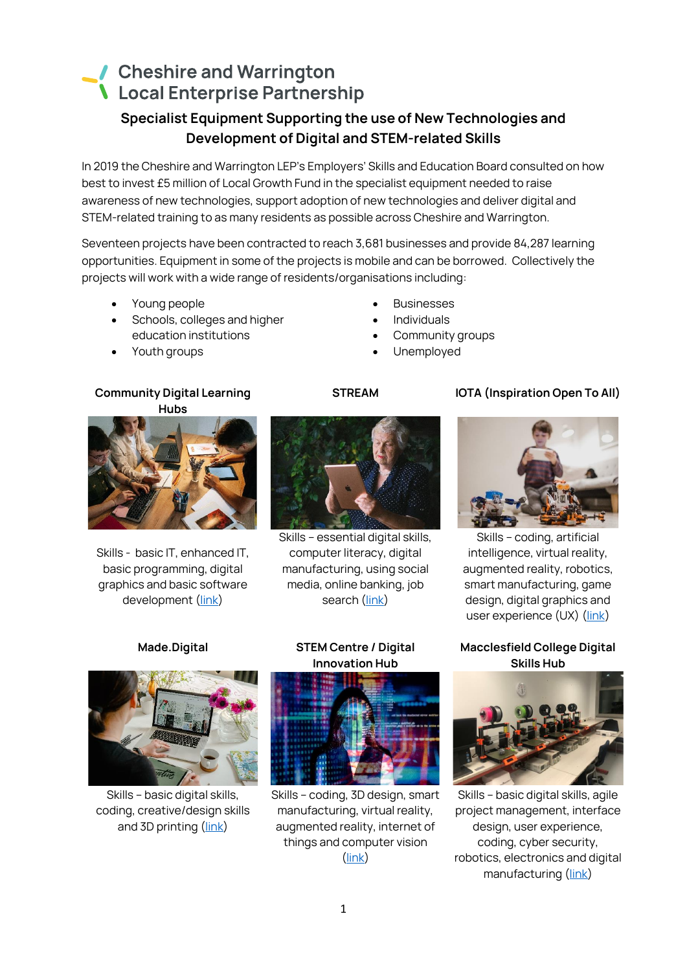# Cheshire and Warrington **Local Enterprise Partnership**

# **Specialist Equipment Supporting the use of New Technologies and Development of Digital and STEM-related Skills**

**In 2019 the Cheshire and Warrington LEP's Employers' Skills and Education Board consulted on how best to invest £5 million of Local Growth Fund in the specialist equipment needed to raise awareness of new technologies, support adoption of new technologies and deliver digital and STEM-related training to as many residents as possible across Cheshire and Warrington.**

**Seventeen projects have been contracted to reach 3,681 businesses and provide 84,287 learning opportunities. Equipment in some of the projects is mobile and can be borrowed. Collectively the projects will work with a wide range of residents/organisations including:**

- **Young people**
- **Schools, colleges and higher education institutions**
- **Youth groups**
- **Community Digital Learning Hubs**



**Skills - basic IT, enhanced IT, basic programming, digital graphics and basic software development [\(link\)](https://cheshireandwarrington.com/growth-and-skills/digital-skills-partnership/new-technologies-and-training/community-digital-learning-hubs/)**

## • **Businesses**

- **Individuals**
- **Community groups**
- **Unemployed**

### **STREAM IOTA (Inspiration Open To All)**



**Skills – essential digital skills, computer literacy, digital manufacturing, using social media, online banking, job search [\(link\)](https://cheshireandwarrington.com/growth-and-skills/digital-skills-partnership/new-technologies-and-training/stream/)**



**Skills – coding, artificial intelligence, virtual reality, augmented reality, robotics, smart manufacturing, game design, digital graphics and user experience (UX) [\(link\)](https://cheshireandwarrington.com/growth-and-skills/digital-skills-partnership/new-technologies-and-training/iota/)**

### **Macclesfield College Digital Skills Hub**



**Skills – basic digital skills, agile project management, interface design, user experience, coding, cyber security, robotics, electronics and digital manufacturing [\(link\)](https://cheshireandwarrington.com/growth-and-skills/digital-skills-partnership/new-technologies-and-training/macclesfield-college-digital-skills-hub/)**



**Skills – basic digital skills, coding, creative/design skills and 3D printing [\(link\)](https://cheshireandwarrington.com/growth-and-skills/digital-skills-partnership/new-technologies-and-training/made-digital/)**

### **Made.Digital STEM Centre / Digital Innovation Hub**



**Skills – coding, 3D design, smart manufacturing, virtual reality, augmented reality, internet of things and computer vision [\(link\)](https://cheshireandwarrington.com/growth-and-skills/digital-skills-partnership/new-technologies-and-training/stem-centre-digital-innovation-hub/)**